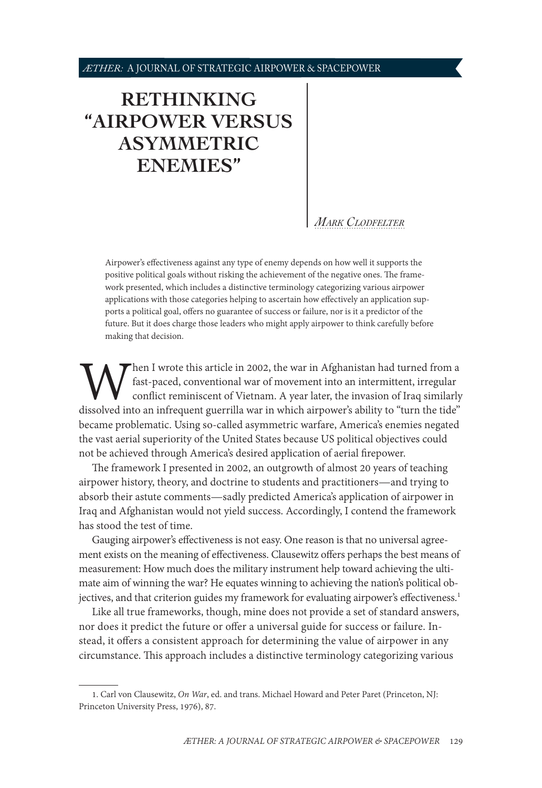# <span id="page-0-0"></span>**[RETHINKING](#page-1-0)  ["AIRPOWER VERSUS](#page-1-0)  [ASYMMETRIC](#page-1-0)  [ENEMIES"](#page-1-0)**

#### *[Mark Clodfelter](#page-8-0)*

Airpower's effectiveness against any type of enemy depends on how well it supports the positive political goals without risking the achievement of the negative ones. The framework presented, which includes a distinctive terminology categorizing various airpower applications with those categories helping to ascertain how effectively an application supports a political goal, offers no guarantee of success or failure, nor is it a predictor of the future. But it does charge those leaders who might apply airpower to think carefully before making that decision.

When I wrote this article in 2002, the war in Afghanistan had turned from a fast-paced, conventional war of movement into an intermittent, irregular conflict reminiscent of Vietnam. A year later, the invasion of Iraq simil fast-paced, conventional war of movement into an intermittent, irregular conflict reminiscent of Vietnam. A year later, the invasion of Iraq similarly became problematic. Using so-called asymmetric warfare, America's enemies negated the vast aerial superiority of the United States because US political objectives could not be achieved through America's desired application of aerial firepower.

The framework I presented in 2002, an outgrowth of almost 20 years of teaching airpower history, theory, and doctrine to students and practitioners—and trying to absorb their astute comments—sadly predicted America's application of airpower in Iraq and Afghanistan would not yield success. Accordingly, I contend the framework has stood the test of time.

Gauging airpower's effectiveness is not easy. One reason is that no universal agreement exists on the meaning of effectiveness. Clausewitz offers perhaps the best means of measurement: How much does the military instrument help toward achieving the ultimate aim of winning the war? He equates winning to achieving the nation's political objectives, and that criterion guides my framework for evaluating airpower's effectiveness.<sup>1</sup>

Like all true frameworks, though, mine does not provide a set of standard answers, nor does it predict the future or offer a universal guide for success or failure. Instead, it offers a consistent approach for determining the value of airpower in any circumstance. This approach includes a distinctive terminology categorizing various

<sup>1.</sup> Carl von Clausewitz, *On War*, ed. and trans. Michael Howard and Peter Paret (Princeton, NJ: Princeton University Press, 1976), 87.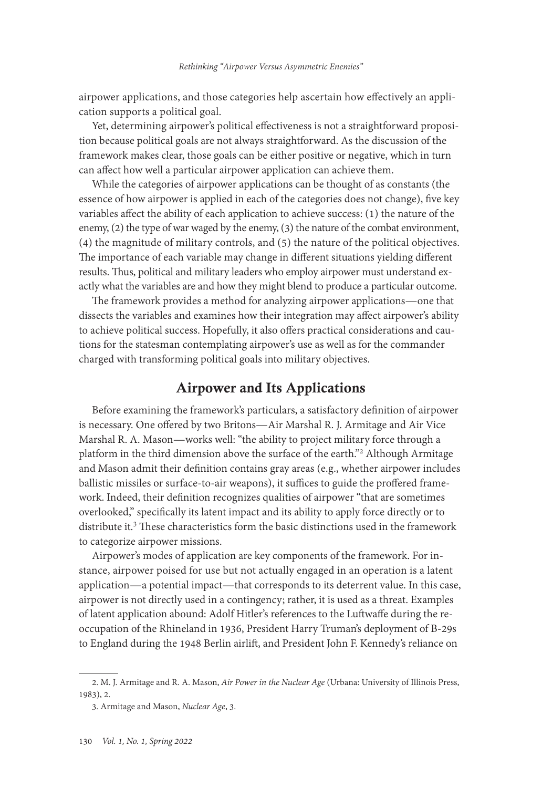<span id="page-1-0"></span>airpower applications, and those categories help ascertain how effectively an application supports a political goal.

Yet, determining airpower's political effectiveness is not a straightforward proposition because political goals are not always straightforward. As the discussion of the framework makes clear, those goals can be either positive or negative, which in turn can affect how well a particular airpower application can achieve them.

While the categories of airpower applications can be thought of as constants (the essence of how airpower is applied in each of the categories does not change), five key variables affect the ability of each application to achieve success: (1) the nature of the enemy, (2) the type of war waged by the enemy, (3) the nature of the combat environment, (4) the magnitude of military controls, and (5) the nature of the political objectives. The importance of each variable may change in different situations yielding different results. Thus, political and military leaders who employ airpower must understand exactly what the variables are and how they might blend to produce a particular outcome.

The framework provides a method for analyzing airpower applications—one that dissects the variables and examines how their integration may affect airpower's ability to achieve political success. Hopefully, it also offers practical considerations and cautions for the statesman contemplating airpower's use as well as for the commander charged with transforming political goals into military objectives.

# Airpower and Its Applications

Before examining the framework's particulars, a satisfactory definition of airpower is necessary. One offered by two Britons—Air Marshal R. J. Armitage and Air Vice Marshal R. A. Mason—works well: "the ability to project military force through a platform in the third dimension above the surface of the earth."2 Although Armitage and Mason admit their definition contains gray areas (e.g., whether airpower includes ballistic missiles or surface-to-air weapons), it suffices to guide the proffered framework. Indeed, their definition recognizes qualities of airpower "that are sometimes overlooked," specifically its latent impact and its ability to apply force directly or to distribute it.<sup>3</sup> These characteristics form the basic distinctions used in the framework to categorize airpower missions.

Airpower's modes of application are key components of the framework. For instance, airpower poised for use but not actually engaged in an operation is a latent application—a potential impact—that corresponds to its deterrent value. In this case, airpower is not directly used in a contingency; rather, it is used as a threat. Examples of latent application abound: Adolf Hitler's references to the Luftwaffe during the reoccupation of the Rhineland in 1936, President Harry Truman's deployment of B-29s to England during the 1948 Berlin airlift, and President John F. Kennedy's reliance on

<sup>2.</sup> M. J. Armitage and R. A. Mason, *Air Power in the Nuclear Age* (Urbana: University of Illinois Press, 1983), 2.

<sup>3.</sup> Armitage and Mason, *Nuclear Age*, 3.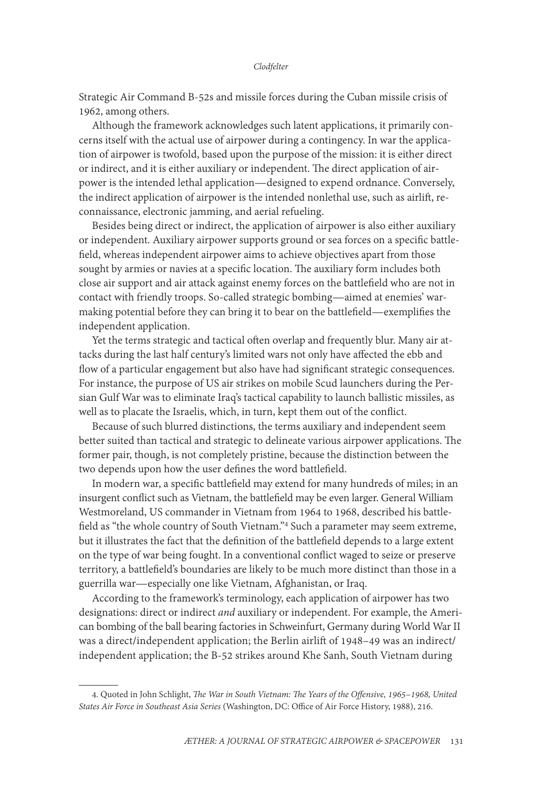Strategic Air Command B-52s and missile forces during the Cuban missile crisis of 1962, among others.

Although the framework acknowledges such latent applications, it primarily concerns itself with the actual use of airpower during a contingency. In war the application of airpower is twofold, based upon the purpose of the mission: it is either direct or indirect, and it is either auxiliary or independent. The direct application of airpower is the intended lethal application—designed to expend ordnance. Conversely, the indirect application of airpower is the intended nonlethal use, such as airlift, reconnaissance, electronic jamming, and aerial refueling.

Besides being direct or indirect, the application of airpower is also either auxiliary or independent. Auxiliary airpower supports ground or sea forces on a specific battlefield, whereas independent airpower aims to achieve objectives apart from those sought by armies or navies at a specific location. The auxiliary form includes both close air support and air attack against enemy forces on the battlefield who are not in contact with friendly troops. So-called strategic bombing—aimed at enemies' warmaking potential before they can bring it to bear on the battlefield—exemplifies the independent application.

Yet the terms strategic and tactical often overlap and frequently blur. Many air attacks during the last half century's limited wars not only have affected the ebb and flow of a particular engagement but also have had significant strategic consequences. For instance, the purpose of US air strikes on mobile Scud launchers during the Persian Gulf War was to eliminate Iraq's tactical capability to launch ballistic missiles, as well as to placate the Israelis, which, in turn, kept them out of the conflict.

Because of such blurred distinctions, the terms auxiliary and independent seem better suited than tactical and strategic to delineate various airpower applications. The former pair, though, is not completely pristine, because the distinction between the two depends upon how the user defines the word battlefield.

In modern war, a specific battlefield may extend for many hundreds of miles; in an insurgent conflict such as Vietnam, the battlefield may be even larger. General William Westmoreland, US commander in Vietnam from 1964 to 1968, described his battlefield as "the whole country of South Vietnam."4 Such a parameter may seem extreme, but it illustrates the fact that the definition of the battlefield depends to a large extent on the type of war being fought. In a conventional conflict waged to seize or preserve territory, a battlefield's boundaries are likely to be much more distinct than those in a guerrilla war—especially one like Vietnam, Afghanistan, or Iraq.

According to the framework's terminology, each application of airpower has two designations: direct or indirect *and* auxiliary or independent. For example, the American bombing of the ball bearing factories in Schweinfurt, Germany during World War II was a direct/independent application; the Berlin airlift of 1948–49 was an indirect/ independent application; the B-52 strikes around Khe Sanh, South Vietnam during

<sup>4.</sup> Quoted in John Schlight, *The War in South Vietnam: The Years of the Offensive, 1965–1968, United States Air Force in Southeast Asia Series* (Washington, DC: Office of Air Force History, 1988), 216.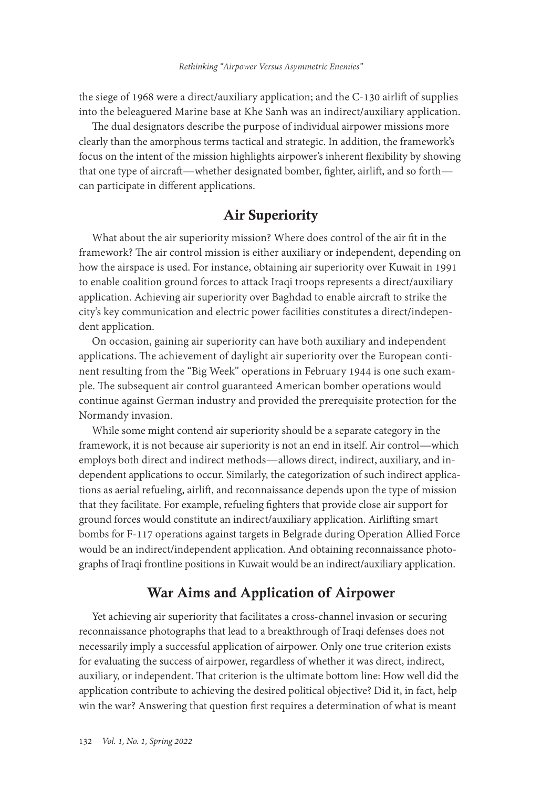the siege of 1968 were a direct/auxiliary application; and the C-130 airlift of supplies into the beleaguered Marine base at Khe Sanh was an indirect/auxiliary application.

The dual designators describe the purpose of individual airpower missions more clearly than the amorphous terms tactical and strategic. In addition, the framework's focus on the intent of the mission highlights airpower's inherent flexibility by showing that one type of aircraft—whether designated bomber, fighter, airlift, and so forth can participate in different applications.

# Air Superiority

What about the air superiority mission? Where does control of the air fit in the framework? The air control mission is either auxiliary or independent, depending on how the airspace is used. For instance, obtaining air superiority over Kuwait in 1991 to enable coalition ground forces to attack Iraqi troops represents a direct/auxiliary application. Achieving air superiority over Baghdad to enable aircraft to strike the city's key communication and electric power facilities constitutes a direct/independent application.

On occasion, gaining air superiority can have both auxiliary and independent applications. The achievement of daylight air superiority over the European continent resulting from the "Big Week" operations in February 1944 is one such example. The subsequent air control guaranteed American bomber operations would continue against German industry and provided the prerequisite protection for the Normandy invasion.

While some might contend air superiority should be a separate category in the framework, it is not because air superiority is not an end in itself. Air control—which employs both direct and indirect methods—allows direct, indirect, auxiliary, and independent applications to occur. Similarly, the categorization of such indirect applications as aerial refueling, airlift, and reconnaissance depends upon the type of mission that they facilitate. For example, refueling fighters that provide close air support for ground forces would constitute an indirect/auxiliary application. Airlifting smart bombs for F-117 operations against targets in Belgrade during Operation Allied Force would be an indirect/independent application. And obtaining reconnaissance photographs of Iraqi frontline positions in Kuwait would be an indirect/auxiliary application.

# War Aims and Application of Airpower

Yet achieving air superiority that facilitates a cross-channel invasion or securing reconnaissance photographs that lead to a breakthrough of Iraqi defenses does not necessarily imply a successful application of airpower. Only one true criterion exists for evaluating the success of airpower, regardless of whether it was direct, indirect, auxiliary, or independent. That criterion is the ultimate bottom line: How well did the application contribute to achieving the desired political objective? Did it, in fact, help win the war? Answering that question first requires a determination of what is meant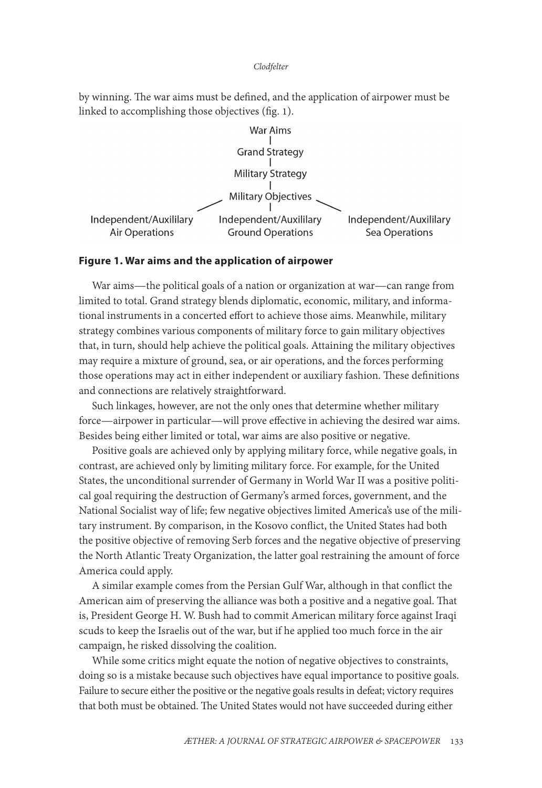#### *Clodfelter*

by winning. The war aims must be defined, and the application of airpower must be linked to accomplishing those objectives (fig. 1).



#### **Figure 1. War aims and the application of airpower**

War aims—the political goals of a nation or organization at war—can range from limited to total. Grand strategy blends diplomatic, economic, military, and informational instruments in a concerted effort to achieve those aims. Meanwhile, military strategy combines various components of military force to gain military objectives that, in turn, should help achieve the political goals. Attaining the military objectives may require a mixture of ground, sea, or air operations, and the forces performing those operations may act in either independent or auxiliary fashion. These definitions and connections are relatively straightforward.

Such linkages, however, are not the only ones that determine whether military force—airpower in particular—will prove effective in achieving the desired war aims. Besides being either limited or total, war aims are also positive or negative.

Positive goals are achieved only by applying military force, while negative goals, in contrast, are achieved only by limiting military force. For example, for the United States, the unconditional surrender of Germany in World War II was a positive political goal requiring the destruction of Germany's armed forces, government, and the National Socialist way of life; few negative objectives limited America's use of the military instrument. By comparison, in the Kosovo conflict, the United States had both the positive objective of removing Serb forces and the negative objective of preserving the North Atlantic Treaty Organization, the latter goal restraining the amount of force America could apply.

A similar example comes from the Persian Gulf War, although in that conflict the American aim of preserving the alliance was both a positive and a negative goal. That is, President George H. W. Bush had to commit American military force against Iraqi scuds to keep the Israelis out of the war, but if he applied too much force in the air campaign, he risked dissolving the coalition.

While some critics might equate the notion of negative objectives to constraints, doing so is a mistake because such objectives have equal importance to positive goals. Failure to secure either the positive or the negative goals results in defeat; victory requires that both must be obtained. The United States would not have succeeded during either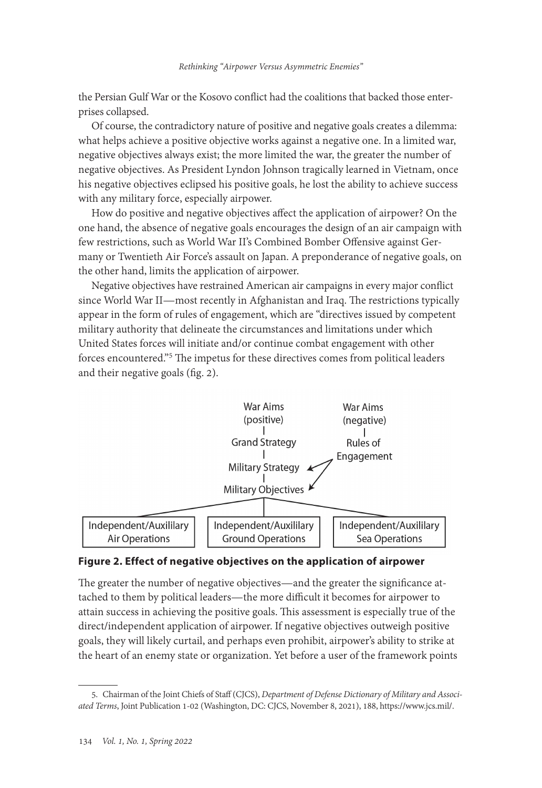the Persian Gulf War or the Kosovo conflict had the coalitions that backed those enterprises collapsed.

Of course, the contradictory nature of positive and negative goals creates a dilemma: what helps achieve a positive objective works against a negative one. In a limited war, negative objectives always exist; the more limited the war, the greater the number of negative objectives. As President Lyndon Johnson tragically learned in Vietnam, once his negative objectives eclipsed his positive goals, he lost the ability to achieve success with any military force, especially airpower.

How do positive and negative objectives affect the application of airpower? On the one hand, the absence of negative goals encourages the design of an air campaign with few restrictions, such as World War II's Combined Bomber Offensive against Germany or Twentieth Air Force's assault on Japan. A preponderance of negative goals, on the other hand, limits the application of airpower.

Negative objectives have restrained American air campaigns in every major conflict since World War II—most recently in Afghanistan and Iraq. The restrictions typically appear in the form of rules of engagement, which are "directives issued by competent military authority that delineate the circumstances and limitations under which United States forces will initiate and/or continue combat engagement with other forces encountered."<sup>5</sup> The impetus for these directives comes from political leaders and their negative goals (fig. 2).



#### **Figure 2. Effect of negative objectives on the application of airpower**

The greater the number of negative objectives—and the greater the significance attached to them by political leaders—the more difficult it becomes for airpower to attain success in achieving the positive goals. This assessment is especially true of the direct/independent application of airpower. If negative objectives outweigh positive goals, they will likely curtail, and perhaps even prohibit, airpower's ability to strike at the heart of an enemy state or organization. Yet before a user of the framework points

<sup>5.</sup> Chairman of the Joint Chiefs of Staff (CJCS), *Department of Defense Dictionary of Military and Associated Terms*, Joint Publication 1-02 (Washington, DC: CJCS, November 8, 2021), 188, [https://www.jcs.mil/](https://www.jcs.mil/Portals/36/Documents/Doctrine/pubs/dictionary.pdf).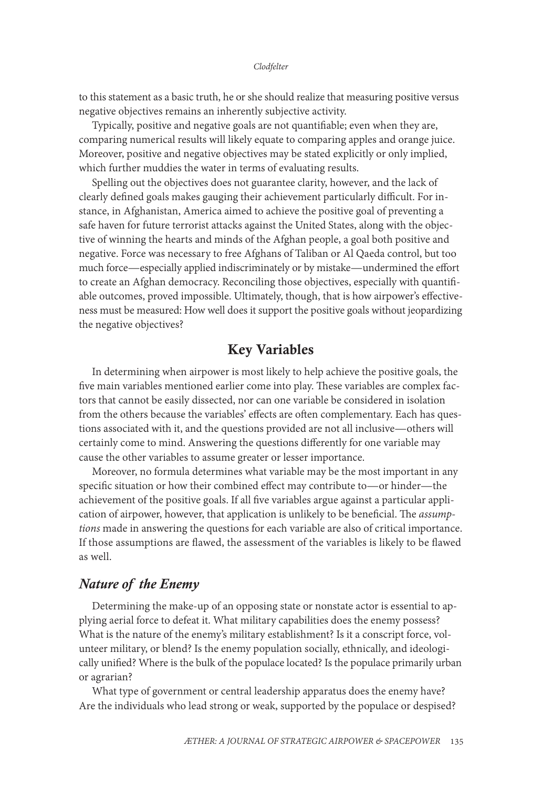#### *Clodfelter*

to this statement as a basic truth, he or she should realize that measuring positive versus negative objectives remains an inherently subjective activity.

Typically, positive and negative goals are not quantifiable; even when they are, comparing numerical results will likely equate to comparing apples and orange juice. Moreover, positive and negative objectives may be stated explicitly or only implied, which further muddies the water in terms of evaluating results.

Spelling out the objectives does not guarantee clarity, however, and the lack of clearly defined goals makes gauging their achievement particularly difficult. For instance, in Afghanistan, America aimed to achieve the positive goal of preventing a safe haven for future terrorist attacks against the United States, along with the objective of winning the hearts and minds of the Afghan people, a goal both positive and negative. Force was necessary to free Afghans of Taliban or Al Qaeda control, but too much force—especially applied indiscriminately or by mistake—undermined the effort to create an Afghan democracy. Reconciling those objectives, especially with quantifiable outcomes, proved impossible. Ultimately, though, that is how airpower's effectiveness must be measured: How well does it support the positive goals without jeopardizing the negative objectives?

# Key Variables

In determining when airpower is most likely to help achieve the positive goals, the five main variables mentioned earlier come into play. These variables are complex factors that cannot be easily dissected, nor can one variable be considered in isolation from the others because the variables' effects are often complementary. Each has questions associated with it, and the questions provided are not all inclusive—others will certainly come to mind. Answering the questions differently for one variable may cause the other variables to assume greater or lesser importance.

Moreover, no formula determines what variable may be the most important in any specific situation or how their combined effect may contribute to—or hinder—the achievement of the positive goals. If all five variables argue against a particular application of airpower, however, that application is unlikely to be beneficial. The *assumptions* made in answering the questions for each variable are also of critical importance. If those assumptions are flawed, the assessment of the variables is likely to be flawed as well.

#### *Nature of the Enemy*

Determining the make-up of an opposing state or nonstate actor is essential to applying aerial force to defeat it. What military capabilities does the enemy possess? What is the nature of the enemy's military establishment? Is it a conscript force, volunteer military, or blend? Is the enemy population socially, ethnically, and ideologically unified? Where is the bulk of the populace located? Is the populace primarily urban or agrarian?

What type of government or central leadership apparatus does the enemy have? Are the individuals who lead strong or weak, supported by the populace or despised?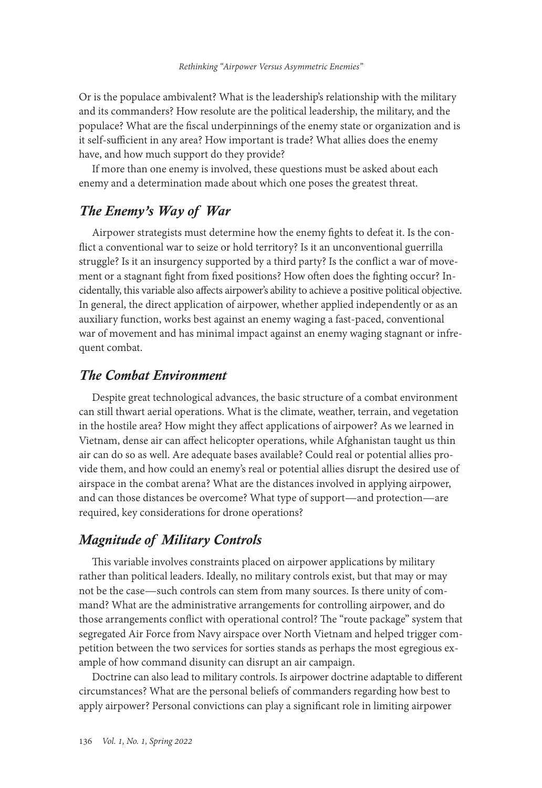Or is the populace ambivalent? What is the leadership's relationship with the military and its commanders? How resolute are the political leadership, the military, and the populace? What are the fiscal underpinnings of the enemy state or organization and is it self-sufficient in any area? How important is trade? What allies does the enemy have, and how much support do they provide?

If more than one enemy is involved, these questions must be asked about each enemy and a determination made about which one poses the greatest threat.

# *The Enemy's Way of War*

Airpower strategists must determine how the enemy fights to defeat it. Is the conflict a conventional war to seize or hold territory? Is it an unconventional guerrilla struggle? Is it an insurgency supported by a third party? Is the conflict a war of movement or a stagnant fight from fixed positions? How often does the fighting occur? Incidentally, this variable also affects airpower's ability to achieve a positive political objective. In general, the direct application of airpower, whether applied independently or as an auxiliary function, works best against an enemy waging a fast-paced, conventional war of movement and has minimal impact against an enemy waging stagnant or infrequent combat.

#### *The Combat Environment*

Despite great technological advances, the basic structure of a combat environment can still thwart aerial operations. What is the climate, weather, terrain, and vegetation in the hostile area? How might they affect applications of airpower? As we learned in Vietnam, dense air can affect helicopter operations, while Afghanistan taught us thin air can do so as well. Are adequate bases available? Could real or potential allies provide them, and how could an enemy's real or potential allies disrupt the desired use of airspace in the combat arena? What are the distances involved in applying airpower, and can those distances be overcome? What type of support—and protection—are required, key considerations for drone operations?

# *Magnitude of Military Controls*

This variable involves constraints placed on airpower applications by military rather than political leaders. Ideally, no military controls exist, but that may or may not be the case—such controls can stem from many sources. Is there unity of command? What are the administrative arrangements for controlling airpower, and do those arrangements conflict with operational control? The "route package" system that segregated Air Force from Navy airspace over North Vietnam and helped trigger competition between the two services for sorties stands as perhaps the most egregious example of how command disunity can disrupt an air campaign.

Doctrine can also lead to military controls. Is airpower doctrine adaptable to different circumstances? What are the personal beliefs of commanders regarding how best to apply airpower? Personal convictions can play a significant role in limiting airpower